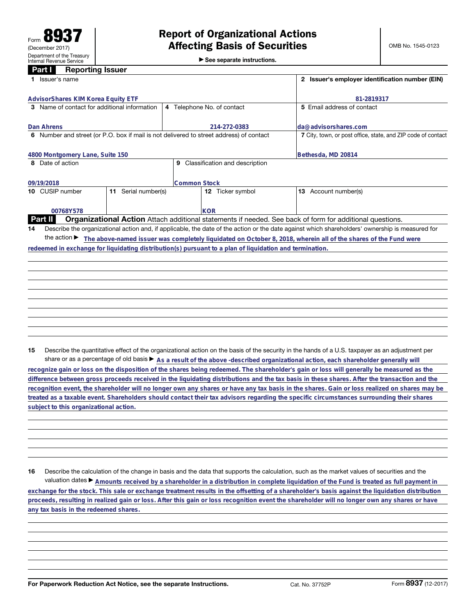## **Part I Reporting Issuer**

| <b>Affecting Basis of Securities</b> |                                             |  |  |  |
|--------------------------------------|---------------------------------------------|--|--|--|
|                                      | $\triangleright$ See separate instructions. |  |  |  |

| 2 Issuer's employer identification number (EIN)                                                                                                 |  |  |  |  |  |
|-------------------------------------------------------------------------------------------------------------------------------------------------|--|--|--|--|--|
| 81-2819317                                                                                                                                      |  |  |  |  |  |
| 5 Email address of contact                                                                                                                      |  |  |  |  |  |
| da@advisorshares.com                                                                                                                            |  |  |  |  |  |
| 7 City, town, or post office, state, and ZIP code of contact                                                                                    |  |  |  |  |  |
| Bethesda, MD 20814                                                                                                                              |  |  |  |  |  |
| Classification and description<br>9                                                                                                             |  |  |  |  |  |
|                                                                                                                                                 |  |  |  |  |  |
| 13 Account number(s)                                                                                                                            |  |  |  |  |  |
|                                                                                                                                                 |  |  |  |  |  |
| Organizational Action Attach additional statements if needed. See back of form for additional questions.                                        |  |  |  |  |  |
| Describe the organizational action and, if applicable, the date of the action or the date against which shareholders' ownership is measured for |  |  |  |  |  |
| The above-named issuer was completely liquidated on October 8, 2018, wherein all of the shares of the Fund were                                 |  |  |  |  |  |
|                                                                                                                                                 |  |  |  |  |  |
|                                                                                                                                                 |  |  |  |  |  |
|                                                                                                                                                 |  |  |  |  |  |
|                                                                                                                                                 |  |  |  |  |  |
|                                                                                                                                                 |  |  |  |  |  |
|                                                                                                                                                 |  |  |  |  |  |
|                                                                                                                                                 |  |  |  |  |  |

**15** Describe the quantitative effect of the organizational action on the basis of the security in the hands of a U.S. taxpayer as an adjustment per share or as a percentage of old basis  $\blacktriangleright$  As a result of the above -described organizational action, each shareholder generally will

**recognize gain or loss on the disposition of the shares being redeemed. The shareholder's gain or loss will generally be measured as the difference between gross proceeds received in the liquidating distributions and the tax basis in these shares. After the transaction and the recognition event, the shareholder will no longer own any shares or have any tax basis in the shares. Gain or loss realized on shares may be treated as a taxable event. Shareholders should contact their tax advisors regarding the specific circumstances surrounding their shares subject to this organizational action.**

**16** Describe the calculation of the change in basis and the data that supports the calculation, such as the market values of securities and the valuation dates ► Amounts received by a shareholder in a distribution in complete liquidation of the Fund is treated as full payment in **exchange for the stock. This sale or exchange treatment results in the offsetting of a shareholder's basis against the liquidation distribution proceeds, resulting in realized gain or loss. After this gain or loss recognition event the shareholder will no longer own any shares or have any tax basis in the redeemed shares.**